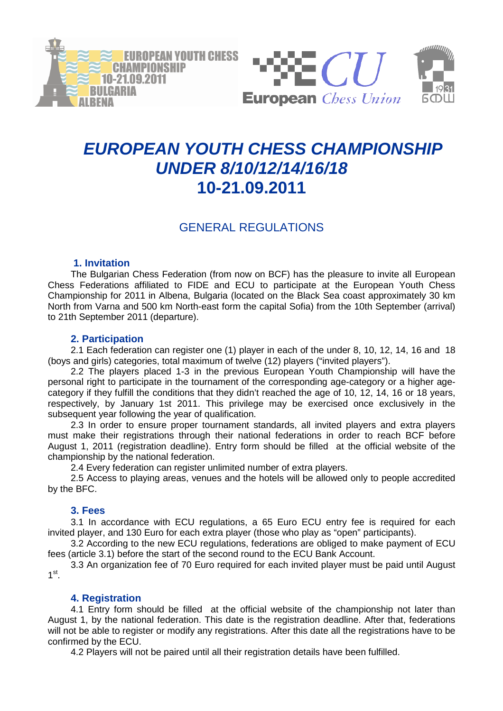



# **EUROPEAN YOUTH CHESS CHAMPIONSHIP UNDER 8/10/12/14/16/18 10-21.09.2011**

# GENERAL REGULATIONS

# **1. Invitation**

The Bulgarian Chess Federation (from now on BCF) has the pleasure to invite all European Chess Federations affiliated to FIDE and ECU to participate at the European Youth Chess Championship for 2011 in Albena, Bulgaria (located on the Black Sea coast approximately 30 km North from Varna and 500 km North-east form the capital Sofia) from the 10th September (arrival) to 21th September 2011 (departure).

# **2. Participation**

2.1 Each federation can register one (1) player in each of the under 8, 10, 12, 14, 16 and 18 (boys and girls) categories, total maximum of twelve (12) players ("invited players").

2.2 The players placed 1-3 in the previous European Youth Championship will have the personal right to participate in the tournament of the corresponding age-category or a higher agecategory if they fulfill the conditions that they didn't reached the age of 10, 12, 14, 16 or 18 years, respectively, by January 1st 2011. This privilege may be exercised once exclusively in the subsequent year following the year of qualification.

2.3 In order to ensure proper tournament standards, all invited players and extra players must make their registrations through their national federations in order to reach BCF before August 1, 2011 (registration deadline). Entry form should be filled at the official website of the championship by the national federation.

2.4 Every federation can register unlimited number of extra players.

2.5 Access to playing areas, venues and the hotels will be allowed only to people accredited by the BFC.

# **3. Fees**

3.1 In accordance with ECU regulations, a 65 Euro ECU entry fee is required for each invited player, and 130 Euro for each extra player (those who play as "open" participants).

3.2 According to the new ECU regulations, federations are obliged to make payment of ECU fees (article 3.1) before the start of the second round to the ECU Bank Account.

3.3 An organization fee of 70 Euro required for each invited player must be paid until August  $1^{\text{st}}$ .

# **4. Registration**

4.1 Entry form should be filled at the official website of the championship not later than August 1, by the national federation. This date is the registration deadline. After that, federations will not be able to register or modify any registrations. After this date all the registrations have to be confirmed by the ECU.

4.2 Players will not be paired until all their registration details have been fulfilled.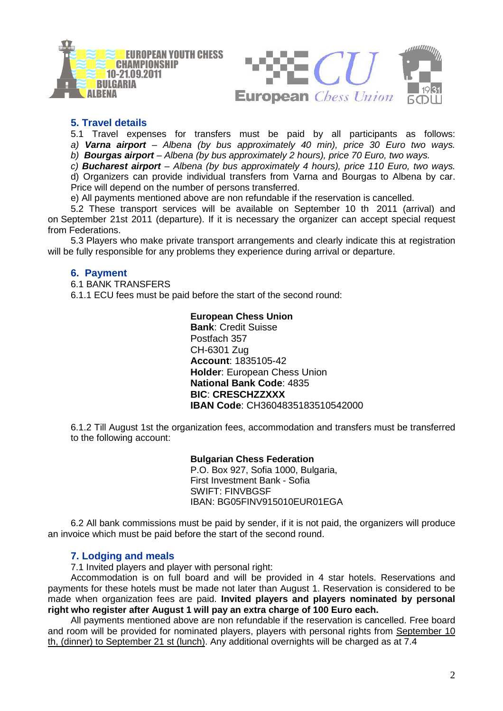



# **5. Travel details**

5.1 Travel expenses for transfers must be paid by all participants as follows: a) **Varna airport** – Albena (by bus approximately 40 min), price 30 Euro two ways.

b) **Bourgas airport** – Albena (by bus approximately 2 hours), price 70 Euro, two ways.

c) **Bucharest airport** – Albena (by bus approximately 4 hours), price 110 Euro, two ways.

d) Organizers can provide individual transfers from Varna and Bourgas to Albena by car. Price will depend on the number of persons transferred.

e) All payments mentioned above are non refundable if the reservation is cancelled.

5.2 These transport services will be available on September 10 th 2011 (arrival) and on September 21st 2011 (departure). If it is necessary the organizer can accept special request from Federations.

5.3 Players who make private transport arrangements and clearly indicate this at registration will be fully responsible for any problems they experience during arrival or departure.

#### **6. Payment**

6.1 BANK TRANSFERS

6.1.1 ECU fees must be paid before the start of the second round:

**European Chess Union Bank**: Credit Suisse Postfach 357 CH-6301 Zug **Account**: 1835105-42 **Holder**: European Chess Union **National Bank Code**: 4835 **BIC**: **CRESCHZZXXX IBAN Code**: CH3604835183510542000

6.1.2 Till August 1st the organization fees, accommodation and transfers must be transferred to the following account:

> **Bulgarian Chess Federation**  P.O. Box 927, Sofia 1000, Bulgaria, First Investment Bank - Sofia SWIFT: FINVBGSF IBAN: BG05FINV915010EUR01EGA

6.2 All bank commissions must be paid by sender, if it is not paid, the organizers will produce an invoice which must be paid before the start of the second round.

#### **7. Lodging and meals**

7.1 Invited players and player with personal right:

Accommodation is on full board and will be provided in 4 star hotels. Reservations and payments for these hotels must be made not later than August 1. Reservation is considered to be made when organization fees are paid. **Invited players and players nominated by personal right who register after August 1 will pay an extra charge of 100 Euro each.**

All payments mentioned above are non refundable if the reservation is cancelled. Free board and room will be provided for nominated players, players with personal rights from September 10 th, (dinner) to September 21 st (lunch). Any additional overnights will be charged as at 7.4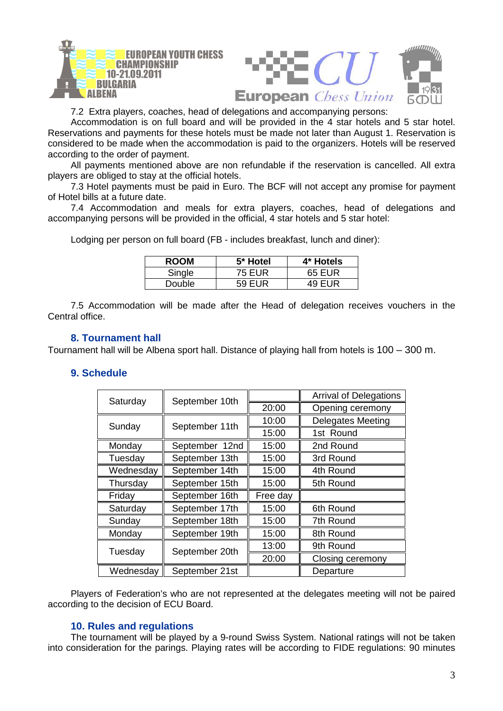

7.2 Extra players, coaches, head of delegations and accompanying persons:

Accommodation is on full board and will be provided in the 4 star hotels and 5 star hotel. Reservations and payments for these hotels must be made not later than August 1. Reservation is considered to be made when the accommodation is paid to the organizers. Hotels will be reserved according to the order of payment.

All payments mentioned above are non refundable if the reservation is cancelled. All extra players are obliged to stay at the official hotels.

7.3 Hotel payments must be paid in Euro. The BCF will not accept any promise for payment of Hotel bills at a future date.

7.4 Accommodation and meals for extra players, coaches, head of delegations and accompanying persons will be provided in the official, 4 star hotels and 5 star hotel:

Lodging per person on full board (FB - includes breakfast, lunch and diner):

| <b>ROOM</b> | 5* Hotel | 4* Hotels |
|-------------|----------|-----------|
| Single      | 75 EUR   | 65 EUR    |
| Double:     | 59 FUR   | $49$ FUR  |

7.5 Accommodation will be made after the Head of delegation receives vouchers in the Central office.

#### **8. Tournament hall**

Tournament hall will be Albena sport hall. Distance of playing hall from hotels is 100 – 300 m.

# **9. Schedule**

| Saturday  | September 10th |          | <b>Arrival of Delegations</b> |
|-----------|----------------|----------|-------------------------------|
|           |                | 20:00    | Opening ceremony              |
| Sunday    | September 11th | 10:00    | <b>Delegates Meeting</b>      |
|           |                | 15:00    | 1st Round                     |
| Monday    | September 12nd | 15:00    | 2nd Round                     |
| Tuesday   | September 13th | 15:00    | 3rd Round                     |
| Wednesday | September 14th | 15:00    | 4th Round                     |
| Thursday  | September 15th | 15:00    | 5th Round                     |
| Friday    | September 16th | Free day |                               |
| Saturday  | September 17th | 15:00    | 6th Round                     |
| Sunday    | September 18th | 15:00    | 7th Round                     |
| Monday    | September 19th | 15:00    | 8th Round                     |
| Tuesday   | September 20th | 13:00    | 9th Round                     |
|           |                | 20:00    | Closing ceremony              |
| Wednesday | September 21st |          | Departure                     |

Players of Federation's who are not represented at the delegates meeting will not be paired according to the decision of ECU Board.

#### **10. Rules and regulations**

The tournament will be played by a 9-round Swiss System. National ratings will not be taken into consideration for the parings. Playing rates will be according to FIDE regulations: 90 minutes